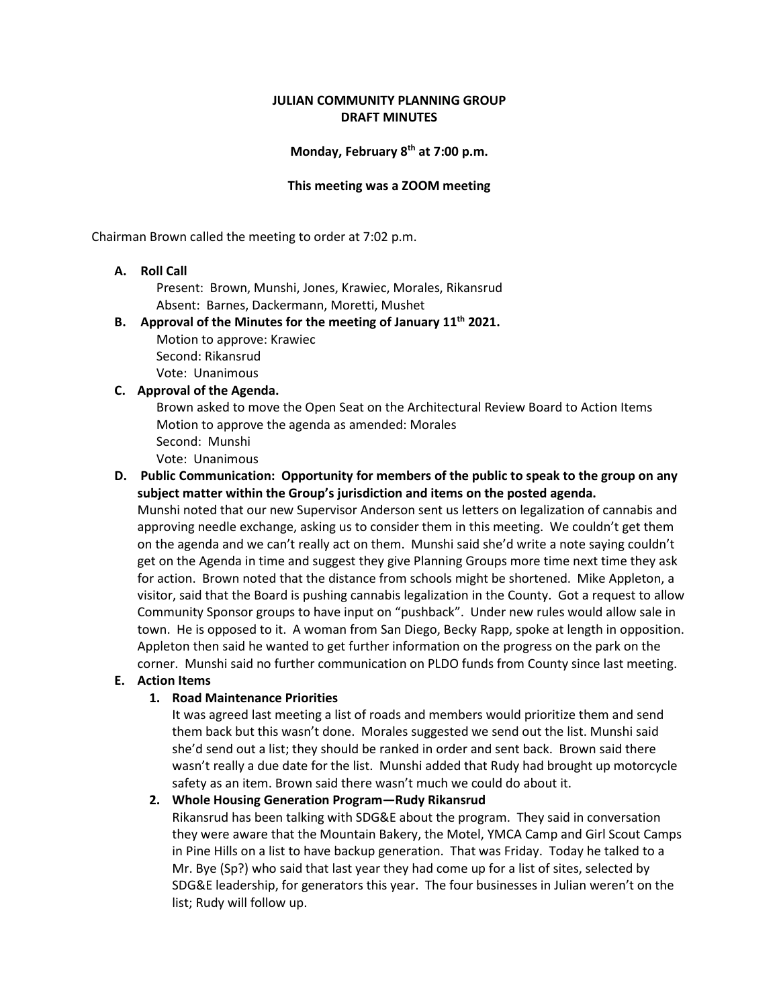## **JULIAN COMMUNITY PLANNING GROUP DRAFT MINUTES**

### **Monday, February 8th at 7:00 p.m.**

#### **This meeting was a ZOOM meeting**

Chairman Brown called the meeting to order at 7:02 p.m.

### **A. Roll Call**

 Present: Brown, Munshi, Jones, Krawiec, Morales, Rikansrud Absent: Barnes, Dackermann, Moretti, Mushet

#### **B. Approval of the Minutes for the meeting of January 11th 2021.**

 Motion to approve: Krawiec Second: Rikansrud Vote: Unanimous

#### **C. Approval of the Agenda.**

 Brown asked to move the Open Seat on the Architectural Review Board to Action Items Motion to approve the agenda as amended: Morales Second: Munshi

Vote: Unanimous

## **D. Public Communication: Opportunity for members of the public to speak to the group on any subject matter within the Group's jurisdiction and items on the posted agenda.**

Munshi noted that our new Supervisor Anderson sent us letters on legalization of cannabis and approving needle exchange, asking us to consider them in this meeting. We couldn't get them on the agenda and we can't really act on them. Munshi said she'd write a note saying couldn't get on the Agenda in time and suggest they give Planning Groups more time next time they ask for action. Brown noted that the distance from schools might be shortened. Mike Appleton, a visitor, said that the Board is pushing cannabis legalization in the County. Got a request to allow Community Sponsor groups to have input on "pushback". Under new rules would allow sale in town. He is opposed to it. A woman from San Diego, Becky Rapp, spoke at length in opposition. Appleton then said he wanted to get further information on the progress on the park on the corner. Munshi said no further communication on PLDO funds from County since last meeting.

## **E. Action Items**

### **1. Road Maintenance Priorities**

It was agreed last meeting a list of roads and members would prioritize them and send them back but this wasn't done. Morales suggested we send out the list. Munshi said she'd send out a list; they should be ranked in order and sent back. Brown said there wasn't really a due date for the list. Munshi added that Rudy had brought up motorcycle safety as an item. Brown said there wasn't much we could do about it.

### **2. Whole Housing Generation Program—Rudy Rikansrud**

Rikansrud has been talking with SDG&E about the program. They said in conversation they were aware that the Mountain Bakery, the Motel, YMCA Camp and Girl Scout Camps in Pine Hills on a list to have backup generation. That was Friday. Today he talked to a Mr. Bye (Sp?) who said that last year they had come up for a list of sites, selected by SDG&E leadership, for generators this year. The four businesses in Julian weren't on the list; Rudy will follow up.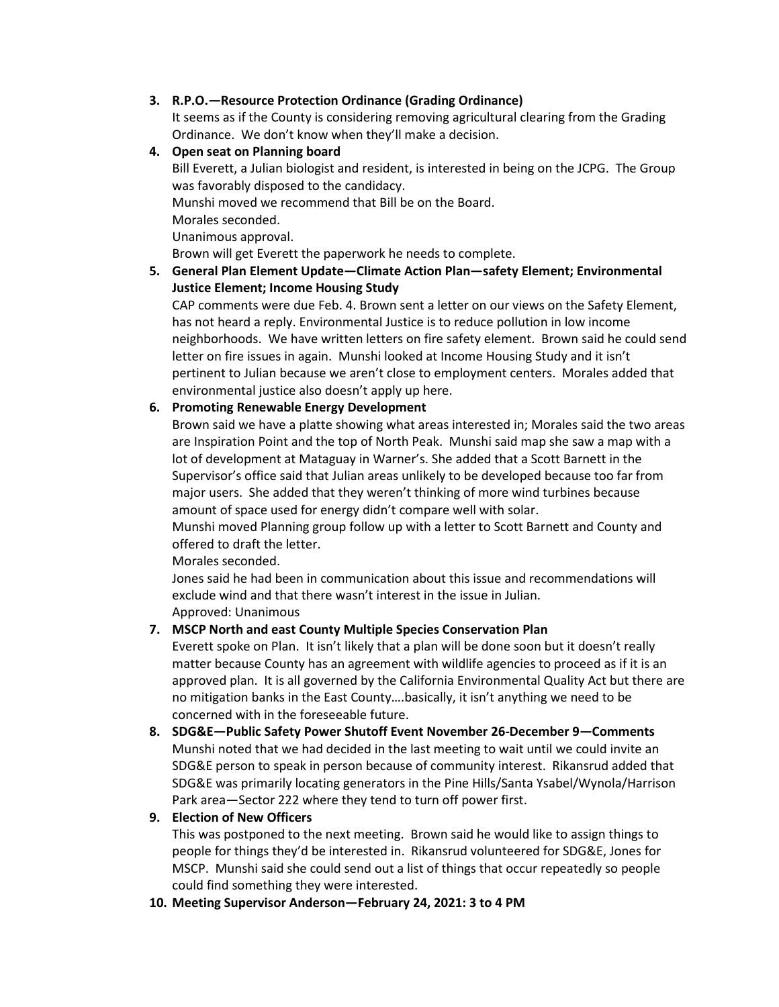# **3. R.P.O.—Resource Protection Ordinance (Grading Ordinance)**

It seems as if the County is considering removing agricultural clearing from the Grading Ordinance. We don't know when they'll make a decision.

## **4. Open seat on Planning board**

Bill Everett, a Julian biologist and resident, is interested in being on the JCPG. The Group was favorably disposed to the candidacy.

Munshi moved we recommend that Bill be on the Board.

Morales seconded.

Unanimous approval.

Brown will get Everett the paperwork he needs to complete.

# **5. General Plan Element Update—Climate Action Plan—safety Element; Environmental Justice Element; Income Housing Study**

CAP comments were due Feb. 4. Brown sent a letter on our views on the Safety Element, has not heard a reply. Environmental Justice is to reduce pollution in low income neighborhoods. We have written letters on fire safety element. Brown said he could send letter on fire issues in again. Munshi looked at Income Housing Study and it isn't pertinent to Julian because we aren't close to employment centers. Morales added that environmental justice also doesn't apply up here.

# **6. Promoting Renewable Energy Development**

Brown said we have a platte showing what areas interested in; Morales said the two areas are Inspiration Point and the top of North Peak. Munshi said map she saw a map with a lot of development at Mataguay in Warner's. She added that a Scott Barnett in the Supervisor's office said that Julian areas unlikely to be developed because too far from major users. She added that they weren't thinking of more wind turbines because amount of space used for energy didn't compare well with solar.

Munshi moved Planning group follow up with a letter to Scott Barnett and County and offered to draft the letter.

Morales seconded.

Jones said he had been in communication about this issue and recommendations will exclude wind and that there wasn't interest in the issue in Julian. Approved: Unanimous

# **7. MSCP North and east County Multiple Species Conservation Plan**

Everett spoke on Plan. It isn't likely that a plan will be done soon but it doesn't really matter because County has an agreement with wildlife agencies to proceed as if it is an approved plan. It is all governed by the California Environmental Quality Act but there are no mitigation banks in the East County….basically, it isn't anything we need to be concerned with in the foreseeable future.

**8. SDG&E—Public Safety Power Shutoff Event November 26-December 9—Comments** Munshi noted that we had decided in the last meeting to wait until we could invite an SDG&E person to speak in person because of community interest. Rikansrud added that SDG&E was primarily locating generators in the Pine Hills/Santa Ysabel/Wynola/Harrison Park area—Sector 222 where they tend to turn off power first.

# **9. Election of New Officers**

This was postponed to the next meeting. Brown said he would like to assign things to people for things they'd be interested in. Rikansrud volunteered for SDG&E, Jones for MSCP. Munshi said she could send out a list of things that occur repeatedly so people could find something they were interested.

### **10. Meeting Supervisor Anderson—February 24, 2021: 3 to 4 PM**